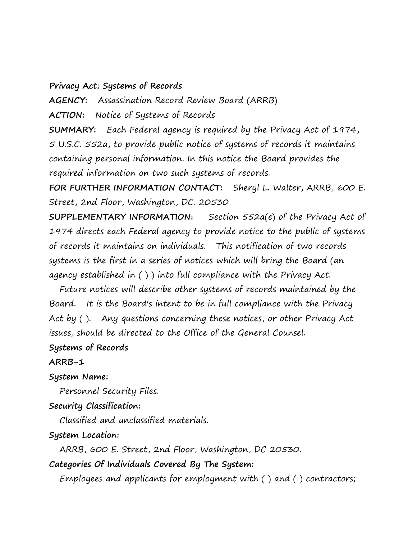#### **Privacy Act; Systems of Records**

**AGENCY:** Assassination Record Review Board (ARRB)

**ACTION:** Notice of Systems of Records

**SUMMARY:** Each Federal agency is required by the Privacy Act of 1974, 5 U.S.C. 552a, to provide public notice of systems of records it maintains containing personal information. In this notice the Board provides the required information on two such systems of records.

**FOR FURTHER INFORMATION CONTACT:** Sheryl L. Walter, ARRB, 600 E. Street, 2nd Floor, Washington, DC. 20530

**SUPPLEMENTARY INFORMATION:** Section 552a(e) of the Privacy Act of 1974 directs each Federal agency to provide notice to the public of systems of records it maintains on individuals. This notification of two records systems is the first in a series of notices which will bring the Board (an agency established in ( ) ) into full compliance with the Privacy Act.

 Future notices will describe other systems of records maintained by the Board. It is the Board's intent to be in full compliance with the Privacy Act by (). Any questions concerning these notices, or other Privacy Act issues, should be directed to the Office of the General Counsel.

### **Systems of Records**

#### **ARRB-1**

#### **System Name:**

 Personnel Security Files. **Security Classification:**

Classified and unclassified materials.

#### **System Location:**

ARRB, 600 E. Street, 2nd Floor, Washington, DC 20530.

**Categories Of Individuals Covered By The System:**

Employees and applicants for employment with ( ) and ( ) contractors;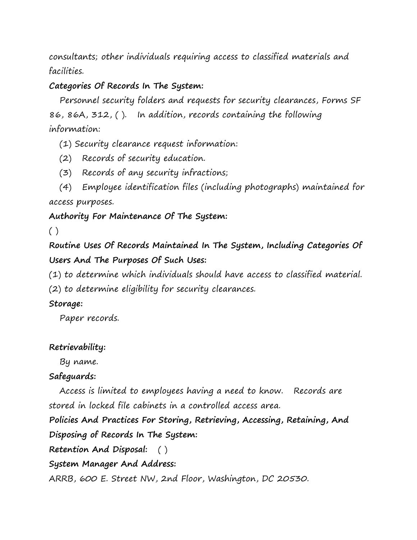consultants; other individuals requiring access to classified materials and facilities.

## **Categories Of Records In The System:**

Personnel security folders and requests for security clearances, Forms SF 86, 86A, 312, ( ). In addition, records containing the following information:

- (1) Security clearance request information:
- (2) Records of security education.
- (3) Records of any security infractions;
- (4) Employee identification files (including photographs) maintained for access purposes.

# **Authority For Maintenance Of The System:**

 $( )$ 

**Routine Uses Of Records Maintained In The System, Including Categories Of Users And The Purposes Of Such Uses:**

(1) to determine which individuals should have access to classified material.

(2) to determine eligibility for security clearances.

## **Storage:**

Paper records.

## **Retrievability:**

By name.

## **Safeguards:**

Access is limited to employees having a need to know. Records are stored in locked file cabinets in a controlled access area.

**Policies And Practices For Storing, Retrieving, Accessing, Retaining, And Disposing of Records In The System:**

**Retention And Disposal:** ( )

**System Manager And Address:**

ARRB, 600 E. Street NW, 2nd Floor, Washington, DC 20530.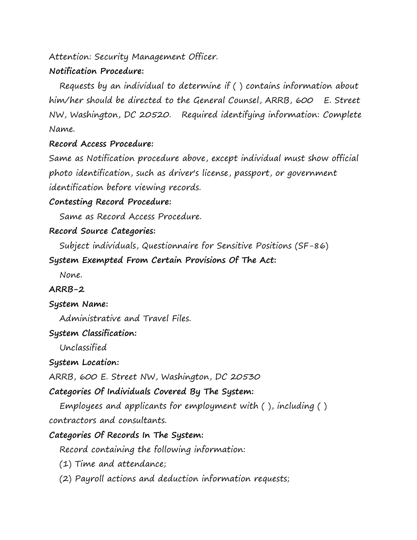Attention: Security Management Officer.

# **Notification Procedure:**

 Requests by an individual to determine if ( ) contains information about him/her should be directed to the General Counsel, ARRB, 600 E. Street NW, Washington, DC 20520. Required identifying information: Complete Name.

# **Record Access Procedure:**

Same as Notification procedure above, except individual must show official photo identification, such as driver's license, passport, or government identification before viewing records.

# **Contesting Record Procedure:**

Same as Record Access Procedure.

# **Record Source Categories:**

Subject individuals, Questionnaire for Sensitive Positions (SF-86)

# **System Exempted From Certain Provisions Of The Act:**

None.

# **ARRB-2**

# **System Name:**

Administrative and Travel Files.

# **System Classification:**

Unclassified

# **System Location:**

ARRB, 600 E. Street NW, Washington, DC 20530

# **Categories Of Individuals Covered By The System:**

 Employees and applicants for employment with ( ), including ( ) contractors and consultants.

# **Categories Of Records In The System:**

Record containing the following information:

- (1) Time and attendance;
- (2) Payroll actions and deduction information requests;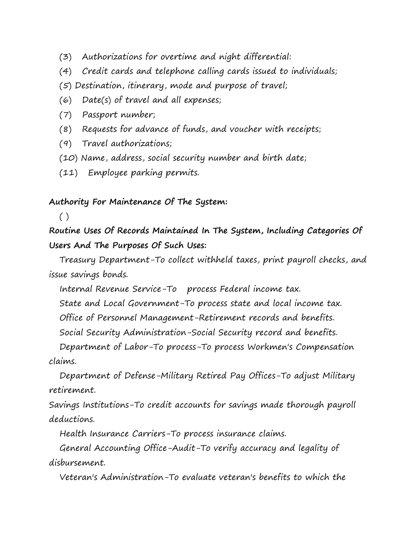- (3) Authorizations for overtime and night differential:
- (4) Credit cards and telephone calling cards issued to individuals;
- (5) Destination, itinerary, mode and purpose of travel;
- (6) Date(s) of travel and all expenses;
- (7) Passport number;
- (8) Requests for advance of funds, and voucher with receipts;
- (9) Travel authorizations;
- (10) Name, address, social security number and birth date;
- (11) Employee parking permits.

#### **Authority For Maintenance Of The System:**

 $( )$ 

**Routine Uses Of Records Maintained In The System, Including Categories Of Users And The Purposes Of Such Uses:**

Treasury Department-To collect withheld taxes, print payroll checks, and issue savings bonds.

Internal Revenue Service-To process Federal income tax.

State and Local Government-To process state and local income tax.

Office of Personnel Management-Retirement records and benefits.

Social Security Administration-Social Security record and benefits.

 Department of Labor-To process-To process Workmen's Compensation claims.

 Department of Defense-Military Retired Pay Offices-To adjust Military retirement.

Savings Institutions-To credit accounts for savings made thorough payroll deductions.

Health Insurance Carriers-To process insurance claims.

 General Accounting Office-Audit-To verify accuracy and legality of disbursement.

Veteran's Administration-To evaluate veteran's benefits to which the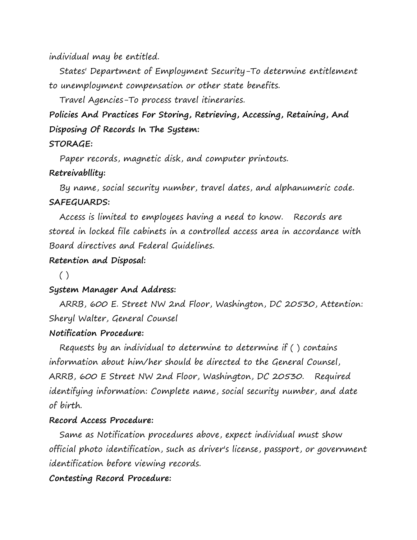individual may be entitled.

 States' Department of Employment Security-To determine entitlement to unemployment compensation or other state benefits.

Travel Agencies-To process travel itineraries.

**Policies And Practices For Storing, Retrieving, Accessing, Retaining, And Disposing Of Records In The System:**

### **STORAGE:**

Paper records, magnetic disk, and computer printouts.

## **Retreivabllity:**

 By name, social security number, travel dates, and alphanumeric code. **SAFEGUARDS:**

 Access is limited to employees having a need to know. Records are stored in locked file cabinets in a controlled access area in accordance with Board directives and Federal Guidelines.

# **Retention and Disposal:**

( )

# **System Manager And Address:**

 ARRB, 600 E. Street NW 2nd Floor, Washington, DC 20530, Attention: Sheryl Walter, General Counsel

# **Notification Procedure:**

 Requests by an individual to determine to determine if ( ) contains information about him/her should be directed to the General Counsel, ARRB, 600 E Street NW 2nd Floor, Washington, DC 20530. Required identifying information: Complete name, social security number, and date of birth.

# **Record Access Procedure:**

Same as Notification procedures above, expect individual must show official photo identification, such as driver's license, passport, or government identification before viewing records.

# **Contesting Record Procedure:**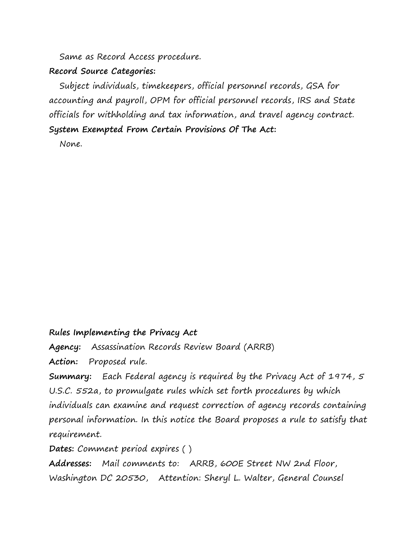Same as Record Access procedure.

### **Record Source Categories:**

 Subject individuals, timekeepers, official personnel records, GSA for accounting and payroll, OPM for official personnel records, IRS and State officials for withholding and tax information, and travel agency contract. **System Exempted From Certain Provisions Of The Act:**

None.

# **Rules Implementing the Privacy Act**

**Agency:** Assassination Records Review Board (ARRB)

**Action:** Proposed rule.

**Summary:** Each Federal agency is required by the Privacy Act of 1974, 5 U.S.C. 552a, to promulgate rules which set forth procedures by which individuals can examine and request correction of agency records containing personal information. In this notice the Board proposes a rule to satisfy that requirement.

**Dates:** Comment period expires ( )

**Addresses:** Mail comments to: ARRB, 600E Street NW 2nd Floor, Washington DC 20530, Attention: Sheryl L. Walter, General Counsel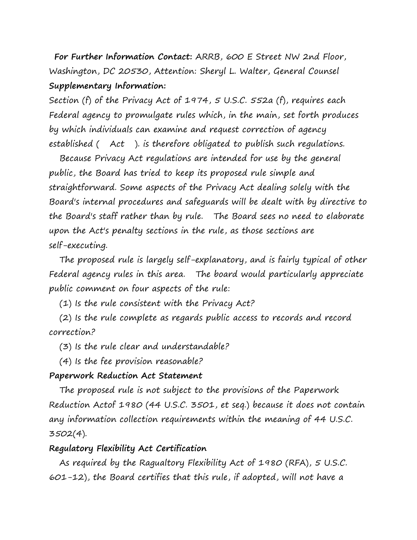**For Further Information Contact:** ARRB, 600 E Street NW 2nd Floor, Washington, DC 20530, Attention: Sheryl L. Walter, General Counsel **Supplementary Information:**

Section (f) of the Privacy Act of 1974, 5 U.S.C. 552a (f), requires each Federal agency to promulgate rules which, in the main, set forth produces by which individuals can examine and request correction of agency established ( Act ). is therefore obligated to publish such regulations.

 Because Privacy Act regulations are intended for use by the general public, the Board has tried to keep its proposed rule simple and straightforward. Some aspects of the Privacy Act dealing solely with the Board's internal procedures and safeguards will be dealt with by directive to the Board's staff rather than by rule. The Board sees no need to elaborate upon the Act's penalty sections in the rule, as those sections are self-executing.

 The proposed rule is largely self-explanatory, and is fairly typical of other Federal agency rules in this area. The board would particularly appreciate public comment on four aspects of the rule:

(1) Is the rule consistent with the Privacy Act?

 (2) Is the rule complete as regards public access to records and record correction?

(3) Is the rule clear and understandable?

(4) Is the fee provision reasonable?

### **Paperwork Reduction Act Statement**

 The proposed rule is not subject to the provisions of the Paperwork Reduction Actof 1980 (44 U.S.C. 3501, et seq.) because it does not contain any information collection requirements within the meaning of 44 U.S.C. 3502(4).

### **Regulatory Flexibility Act Certification**

As required by the Ragualtory Flexibility Act of 1980 (RFA), 5 U.S.C. 601-12), the Board certifies that this rule, if adopted, will not have a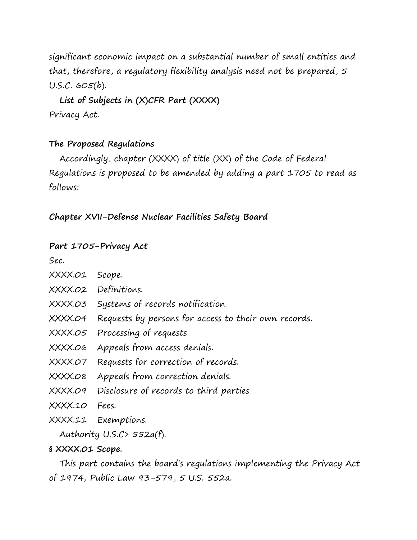significant economic impact on a substantial number of small entities and that, therefore, a regulatory flexibility analysis need not be prepared, 5 U.S.C. 605(b).

 **List of Subjects in (X)CFR Part (XXXX)** Privacy Act.

## **The Proposed Regulations**

 Accordingly, chapter (XXXX) of title (XX) of the Code of Federal Regulations is proposed to be amended by adding a part 1705 to read as follows:

**Chapter XVII-Defense Nuclear Facilities Safety Board** 

## **Part 1705-Privacy Act**

Sec.

- XXXX.01 Scope.
- XXXX.02 Definitions.
- XXXX.03 Systems of records notification.
- XXXX.04 Requests by persons for access to their own records.
- XXXX.05 Processing of requests
- XXXX.06 Appeals from access denials.
- XXXX.07 Requests for correction of records.
- XXXX.08 Appeals from correction denials.
- XXXX.09 Disclosure of records to third parties
- XXXX.10 Fees.
- XXXX.11 Exemptions.

Authority U.S.C> 552a(f).

## **§ XXXX.01 Scope.**

 This part contains the board's regulations implementing the Privacy Act of 1974, Public Law 93-579, 5 U.S. 552a.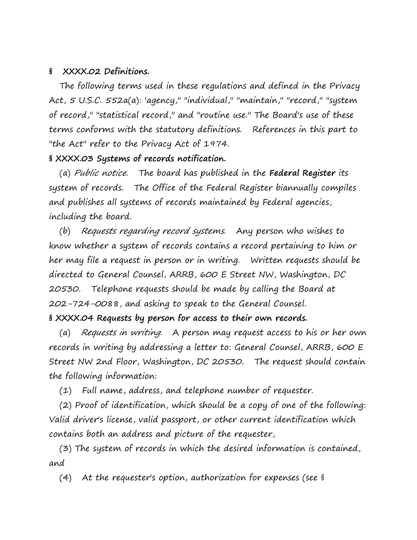#### **§ XXXX.02 Definitions.**

 The following terms used in these regulations and defined in the Privacy Act, 5 U.S.C. 552a(a): 'agency," "individual," "maintain," "record," "system of record," "statistical record," and "routine use." The Board's use of these terms conforms with the statutory definitions. References in this part to "the Act" refer to the Privacy Act of 1974.

## **§ XXXX.03 Systems of records notification.**

(a) Public notice. The board has published in the **Federal Register** its system of records. The Office of the Federal Register biannually compiles and publishes all systems of records maintained by Federal agencies, including the board.

 (b) Requests regarding record systems. Any person who wishes to know whether a system of records contains a record pertaining to him or her may file a request in person or in writing. Written requests should be directed to General Counsel, ARRB, 600 E Street NW, Washington, DC 20530. Telephone requests should be made by calling the Board at 202-724-0088, and asking to speak to the General Counsel.

#### **§ XXXX.04 Requests by person for access to their own records.**

(a) Requests in writing. A person may request access to his or her own records in writing by addressing a letter to: General Counsel, ARRB, 600 E Street NW 2nd Floor, Washington, DC 20530. The request should contain the following information:

(1) Full name, address, and telephone number of requester.

 (2) Proof of identification, which should be a copy of one of the following: Valid driver's license, valid passport, or other current identification which contains both an address and picture of the requester,

 (3) The system of records in which the desired information is contained, and

(4) At the requester's option, authorization for expenses (see §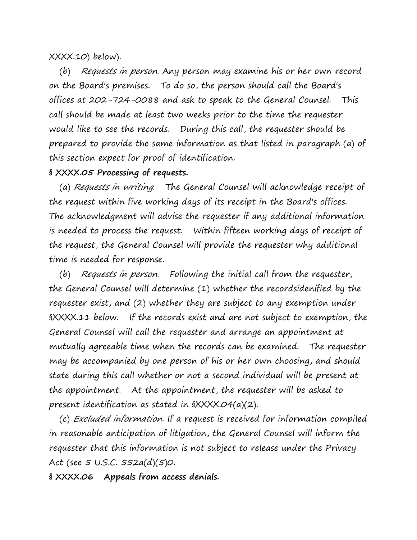#### XXXX.10) below).

 (b) Requests in person. Any person may examine his or her own record on the Board's premises. To do so, the person should call the Board's offices at 202-724-0088 and ask to speak to the General Counsel. This call should be made at least two weeks prior to the time the requester would like to see the records. During this call, the requester should be prepared to provide the same information as that listed in paragraph (a) of this section expect for proof of identification.

#### **§ XXXX.05 Processing of requests.**

(a) Requests in writing. The General Counsel will acknowledge receipt of the request within five working days of its receipt in the Board's offices. The acknowledgment will advise the requester if any additional information is needed to process the request. Within fifteen working days of receipt of the request, the General Counsel will provide the requester why additional time is needed for response.

 (b) Requests in person. Following the initial call from the requester, the General Counsel will determine (1) whether the recordsidenified by the requester exist, and (2) whether they are subject to any exemption under §XXXX.11 below. If the records exist and are not subject to exemption, the General Counsel will call the requester and arrange an appointment at mutually agreeable time when the records can be examined. The requester may be accompanied by one person of his or her own choosing, and should state during this call whether or not a second individual will be present at the appointment. At the appointment, the requester will be asked to present identification as stated in §XXXX.04(a)(2).

 (c) Excluded information. If a request is received for information compiled in reasonable anticipation of litigation, the General Counsel will inform the requester that this information is not subject to release under the Privacy Act (see 5 U.S.C. 552a(d)(5)0.

**§ XXXX.06 Appeals from access denials.**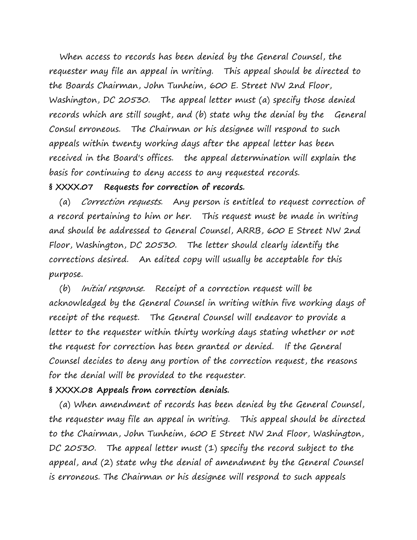When access to records has been denied by the General Counsel, the requester may file an appeal in writing. This appeal should be directed to the Boards Chairman, John Tunheim, 600 E. Street NW 2nd Floor, Washington, DC 20530. The appeal letter must (a) specify those denied records which are still sought, and (b) state why the denial by the General Consul erroneous. The Chairman or his designee will respond to such appeals within twenty working days after the appeal letter has been received in the Board's offices. the appeal determination will explain the basis for continuing to deny access to any requested records.

### **§ XXXX.07 Requests for correction of records.**

 (a) Correction requests. Any person is entitled to request correction of a record pertaining to him or her. This request must be made in writing and should be addressed to General Counsel, ARRB, 600 E Street NW 2nd Floor, Washington, DC 20530. The letter should clearly identify the corrections desired. An edited copy will usually be acceptable for this purpose.

 (b) Initial response. Receipt of a correction request will be acknowledged by the General Counsel in writing within five working days of receipt of the request. The General Counsel will endeavor to provide a letter to the requester within thirty working days stating whether or not the request for correction has been granted or denied. If the General Counsel decides to deny any portion of the correction request, the reasons for the denial will be provided to the requester.

### **§ XXXX.08 Appeals from correction denials.**

 (a) When amendment of records has been denied by the General Counsel, the requester may file an appeal in writing. This appeal should be directed to the Chairman, John Tunheim, 600 E Street NW 2nd Floor, Washington, DC 20530. The appeal letter must (1) specify the record subject to the appeal, and (2) state why the denial of amendment by the General Counsel is erroneous. The Chairman or his designee will respond to such appeals